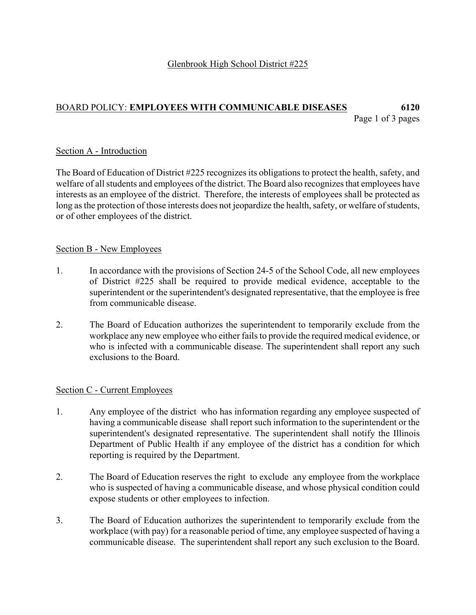## Glenbrook High School District #225

## BOARD POLICY: **EMPLOYEES WITH COMMUNICABLE DISEASES 6120**  Page 1 of 3 pages

### Section A - Introduction

The Board of Education of District #225 recognizes its obligations to protect the health, safety, and welfare of all students and employees of the district. The Board also recognizes that employees have interests as an employee of the district. Therefore, the interests of employees shall be protected as long as the protection of those interests does not jeopardize the health, safety, or welfare of students, or of other employees of the district.

### Section B - New Employees

- 1. In accordance with the provisions of Section 24-5 of the School Code, all new employees of District #225 shall be required to provide medical evidence, acceptable to the superintendent or the superintendent's designated representative, that the employee is free from communicable disease.
- 2. The Board of Education authorizes the superintendent to temporarily exclude from the workplace any new employee who either fails to provide the required medical evidence, or who is infected with a communicable disease. The superintendent shall report any such exclusions to the Board.

#### Section C - Current Employees

- 1. Any employee of the district who has information regarding any employee suspected of having a communicable disease shall report such information to the superintendent or the superintendent's designated representative. The superintendent shall notify the Illinois Department of Public Health if any employee of the district has a condition for which reporting is required by the Department.
- 2. The Board of Education reserves the right to exclude any employee from the workplace who is suspected of having a communicable disease, and whose physical condition could expose students or other employees to infection.
- 3. The Board of Education authorizes the superintendent to temporarily exclude from the workplace (with pay) for a reasonable period of time, any employee suspected of having a communicable disease. The superintendent shall report any such exclusion to the Board.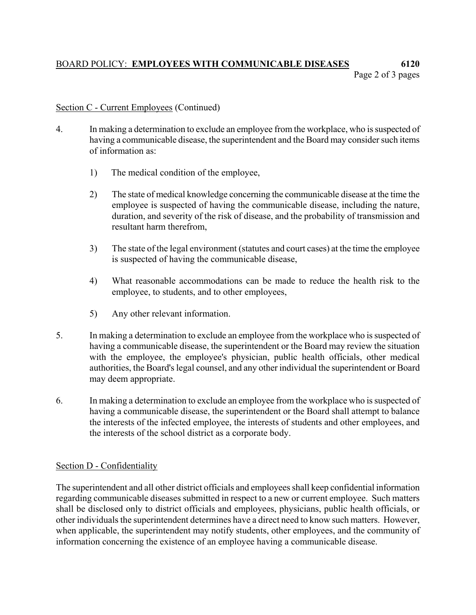# BOARD POLICY: **EMPLOYEES WITH COMMUNICABLE DISEASES 6120**  Page 2 of 3 pages

## Section C - Current Employees (Continued)

- 4. In making a determination to exclude an employee from the workplace, who is suspected of having a communicable disease, the superintendent and the Board may consider such items of information as:
	- 1) The medical condition of the employee,
	- 2) The state of medical knowledge concerning the communicable disease at the time the employee is suspected of having the communicable disease, including the nature, duration, and severity of the risk of disease, and the probability of transmission and resultant harm therefrom,
	- 3) The state of the legal environment (statutes and court cases) at the time the employee is suspected of having the communicable disease,
	- 4) What reasonable accommodations can be made to reduce the health risk to the employee, to students, and to other employees,
	- 5) Any other relevant information.
- 5. In making a determination to exclude an employee from the workplace who is suspected of having a communicable disease, the superintendent or the Board may review the situation with the employee, the employee's physician, public health officials, other medical authorities, the Board's legal counsel, and any other individual the superintendent or Board may deem appropriate.
- 6. In making a determination to exclude an employee from the workplace who is suspected of having a communicable disease, the superintendent or the Board shall attempt to balance the interests of the infected employee, the interests of students and other employees, and the interests of the school district as a corporate body.

## Section D - Confidentiality

The superintendent and all other district officials and employees shall keep confidential information regarding communicable diseases submitted in respect to a new or current employee. Such matters shall be disclosed only to district officials and employees, physicians, public health officials, or other individuals the superintendent determines have a direct need to know such matters. However, when applicable, the superintendent may notify students, other employees, and the community of information concerning the existence of an employee having a communicable disease.